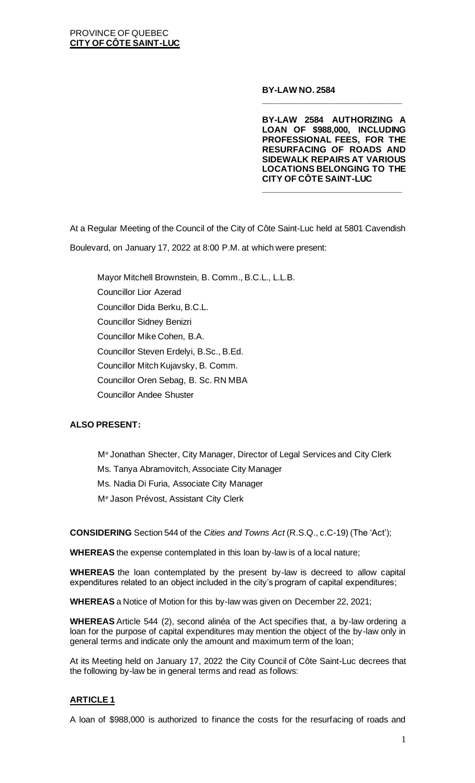#### **BY-LAW NO. 2584**

**BY-LAW 2584 AUTHORIZING A LOAN OF \$988,000, INCLUDING PROFESSIONAL FEES, FOR THE RESURFACING OF ROADS AND SIDEWALK REPAIRS AT VARIOUS LOCATIONS BELONGING TO THE CITY OF CÔTE SAINT-LUC \_\_\_\_\_\_\_\_\_\_\_\_\_\_\_\_\_\_\_\_\_\_\_\_\_\_\_\_\_\_**

**\_\_\_\_\_\_\_\_\_\_\_\_\_\_\_\_\_\_\_\_\_\_\_\_\_\_\_\_\_\_**

At a Regular Meeting of the Council of the City of Côte Saint-Luc held at 5801 Cavendish Boulevard, on January 17, 2022 at 8:00 P.M. at which were present:

Mayor Mitchell Brownstein, B. Comm., B.C.L., L.L.B. Councillor Lior Azerad Councillor Dida Berku, B.C.L. Councillor Sidney Benizri Councillor Mike Cohen, B.A. Councillor Steven Erdelyi, B.Sc., B.Ed. Councillor Mitch Kujavsky, B. Comm. Councillor Oren Sebag, B. Sc. RN MBA Councillor Andee Shuster

### **ALSO PRESENT:**

M<sup>e</sup> Jonathan Shecter, City Manager, Director of Legal Services and City Clerk Ms. Tanya Abramovitch, Associate City Manager Ms. Nadia Di Furia, Associate City Manager M<sup>e</sup> Jason Prévost, Assistant City Clerk

**CONSIDERING** Section 544 of the *Cities and Towns Act* (R.S.Q., c.C-19) (The 'Act');

**WHEREAS** the expense contemplated in this loan by-law is of a local nature;

**WHEREAS** the loan contemplated by the present by-law is decreed to allow capital expenditures related to an object included in the city's program of capital expenditures;

**WHEREAS** a Notice of Motion for this by-law was given on December 22, 2021;

**WHEREAS** Article 544 (2), second alinéa of the Act specifies that, a by-law ordering a loan for the purpose of capital expenditures may mention the object of the by-law only in general terms and indicate only the amount and maximum term of the loan;

At its Meeting held on January 17, 2022 the City Council of Côte Saint-Luc decrees that the following by-law be in general terms and read as follows:

### **ARTICLE 1**

A loan of \$988,000 is authorized to finance the costs for the resurfacing of roads and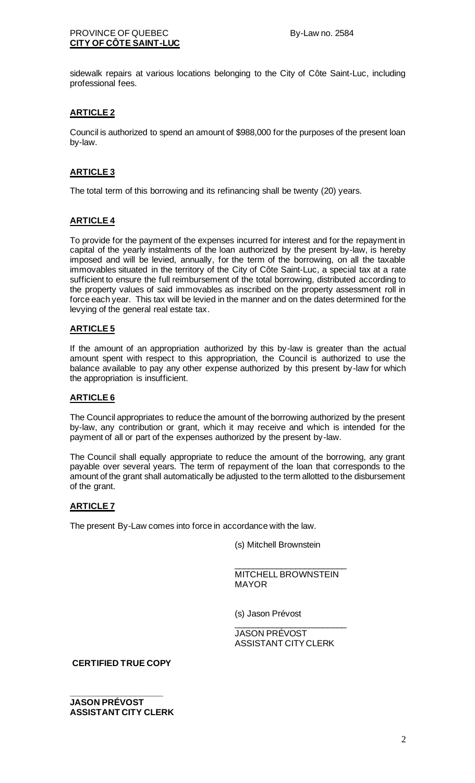### PROVINCE OF QUEBEC By-Law no. 2584 **CITY OF CÔTE SAINT-LUC**

sidewalk repairs at various locations belonging to the City of Côte Saint-Luc, including professional fees.

# **ARTICLE 2**

Council is authorized to spend an amount of \$988,000 for the purposes of the present loan by-law.

# **ARTICLE 3**

The total term of this borrowing and its refinancing shall be twenty (20) years.

# **ARTICLE 4**

To provide for the payment of the expenses incurred for interest and for the repayment in capital of the yearly instalments of the loan authorized by the present by-law, is hereby imposed and will be levied, annually, for the term of the borrowing, on all the taxable immovables situated in the territory of the City of Côte Saint-Luc, a special tax at a rate sufficient to ensure the full reimbursement of the total borrowing, distributed according to the property values of said immovables as inscribed on the property assessment roll in force each year. This tax will be levied in the manner and on the dates determined for the levying of the general real estate tax.

### **ARTICLE 5**

If the amount of an appropriation authorized by this by-law is greater than the actual amount spent with respect to this appropriation, the Council is authorized to use the balance available to pay any other expense authorized by this present by-law for which the appropriation is insufficient.

## **ARTICLE 6**

The Council appropriates to reduce the amount of the borrowing authorized by the present by-law, any contribution or grant, which it may receive and which is intended for the payment of all or part of the expenses authorized by the present by-law.

The Council shall equally appropriate to reduce the amount of the borrowing, any grant payable over several years. The term of repayment of the loan that corresponds to the amount of the grant shall automatically be adjusted to the term allotted to the disbursement of the grant.

# **ARTICLE 7**

The present By-Law comes into force in accordance with the law.

(s) Mitchell Brownstein

MITCHELL BROWNSTEIN MAYOR

\_\_\_\_\_\_\_\_\_\_\_\_\_\_\_\_\_\_\_\_\_\_\_\_

(s) Jason Prévost

\_\_\_\_\_\_\_\_\_\_\_\_\_\_\_\_\_\_\_\_\_\_\_\_ JASON PRÉVOST ASSISTANT CITY CLERK

**CERTIFIED TRUE COPY**

**\_\_\_\_\_\_\_\_\_\_\_\_\_\_\_\_\_\_\_\_ JASON PRÉVOST ASSISTANT CITY CLERK**